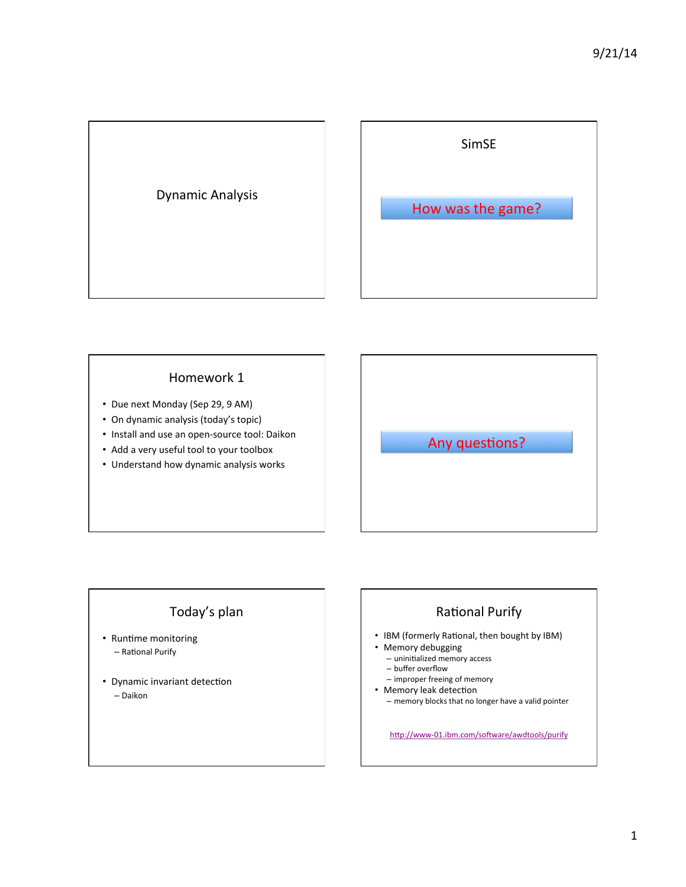

## Homework 1

- Due next Monday (Sep 29, 9 AM)
- On dynamic analysis (today's topic)
- Install and use an open-source tool: Daikon
- Add a very useful tool to your toolbox
- Understand how dynamic analysis works

# Any questions?

# Today's plan

- Runtime monitoring – Rational Purify
- Dynamic invariant detection – Daikon

# Rational Purify

- IBM (formerly Rational, then bought by IBM)
- Memory debugging
	- $-$  uninitialized memory access – buffer overflow
	- improper freeing of memory
- Memory leak detection
	- $-$  memory blocks that no longer have a valid pointer

http://www-01.ibm.com/software/awdtools/purify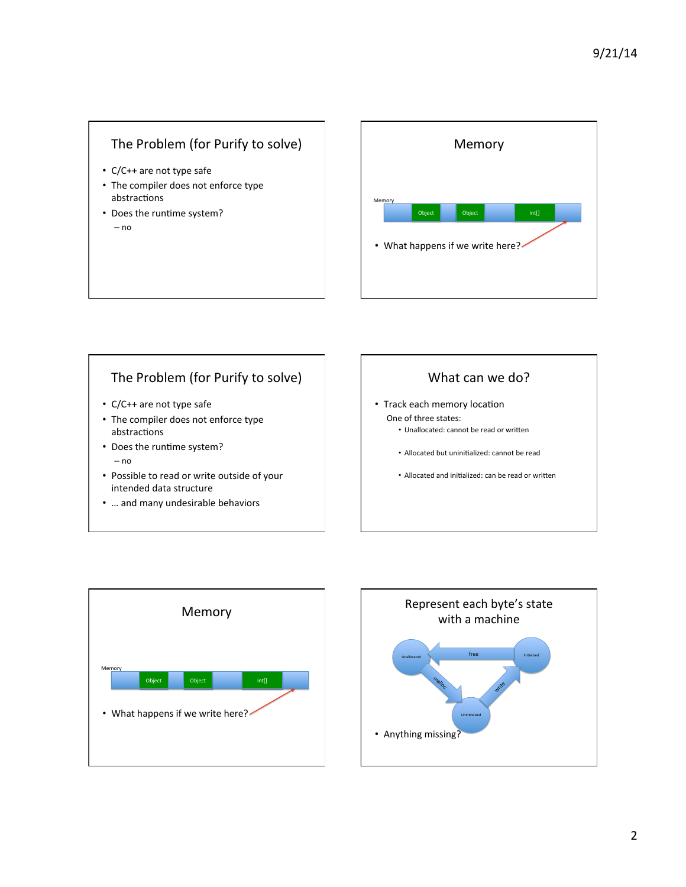# The Problem (for Purify to solve)

- C/C++ are not type safe
- The compiler does not enforce type abstractions
- Does the runtime system? – no



# The Problem (for Purify to solve)

- C/C++ are not type safe
- The compiler does not enforce type abstractions
- Does the runtime system? – no
- Possible to read or write outside of your intended data structure
- ... and many undesirable behaviors



- Track each memory location One of three states:
	- Unallocated: cannot be read or written
	- Allocated but uninitialized: cannot be read
	- Allocated and initialized: can be read or written



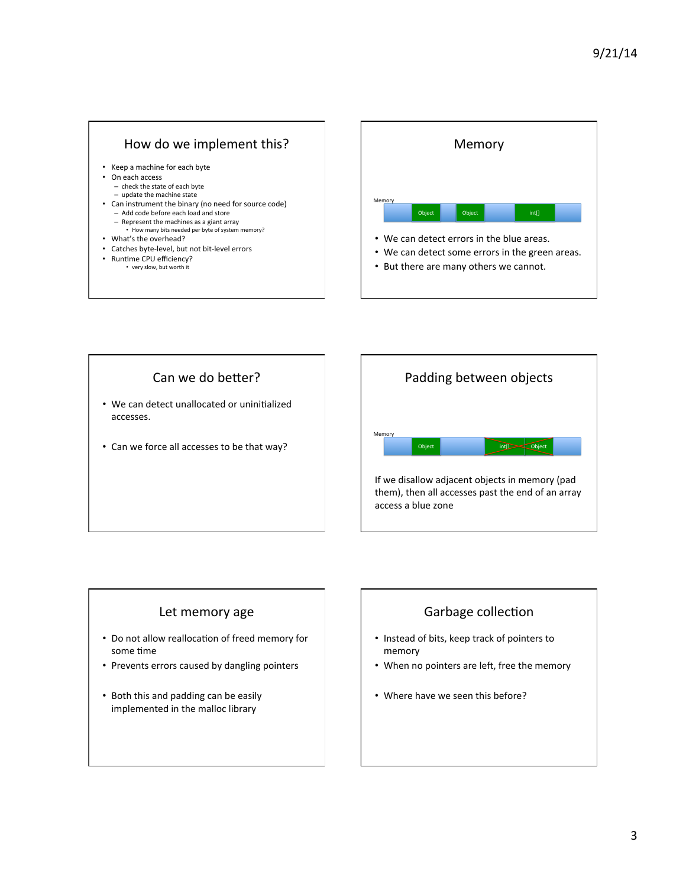## How do we implement this?

- Keep a machine for each byte
- On each access
	- check the state of each byte
	- $-$  update the machine state
- Can instrument the binary (no need for source code) - Add code before each load and store – Represent the machines as a giant array
	- How many bits needed per byte of system memory?
- What's the overhead?
- Catches byte-level, but not bit-level errors
- Runtime CPU efficiency? • very slow, but worth it







## Let memory age

- Do not allow reallocation of freed memory for some time
- Prevents errors caused by dangling pointers
- Both this and padding can be easily implemented in the malloc library



- Instead of bits, keep track of pointers to memory
- When no pointers are left, free the memory
- Where have we seen this before?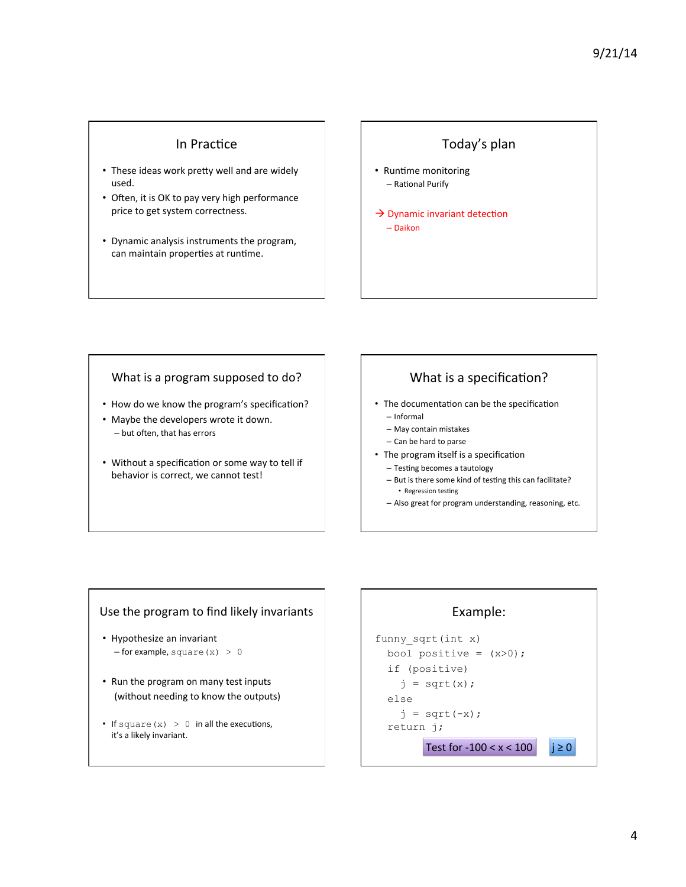#### In Practice

- These ideas work pretty well and are widely used.
- Often, it is OK to pay very high performance price to get system correctness.
- Dynamic analysis instruments the program, can maintain properties at runtime.

## Today's plan

- Runtime monitoring – Rational Purify
- $\rightarrow$  Dynamic invariant detection – Daikon

#### What is a program supposed to do?

- How do we know the program's specification?
- Maybe the developers wrote it down.  $-$  but often, that has errors
- Without a specification or some way to tell if behavior is correct, we cannot test!

## What is a specification?

- The documentation can be the specification
	- Informal
	- May contain mistakes - Can be hard to parse
- The program itself is a specification
	- $-$  Testing becomes a tautology
	- $-$  But is there some kind of testing this can facilitate? • Regression testing
	- $-$  Also great for program understanding, reasoning, etc.

#### Use the program to find likely invariants

- Hypothesize an invariant  $-$  for example, square (x) > 0
- Run the program on many test inputs (without needing to know the outputs)
- If square  $(x) > 0$  in all the executions, it's a likely invariant.

## Example:

```
funny_sqrt(int x) 
bool positive = (x>0);
 if (positive) 
  j = sqrt(x); else 
  j = sqrt(-x); return j; 
      Test for -100 < x < 100 | | \ge 0
```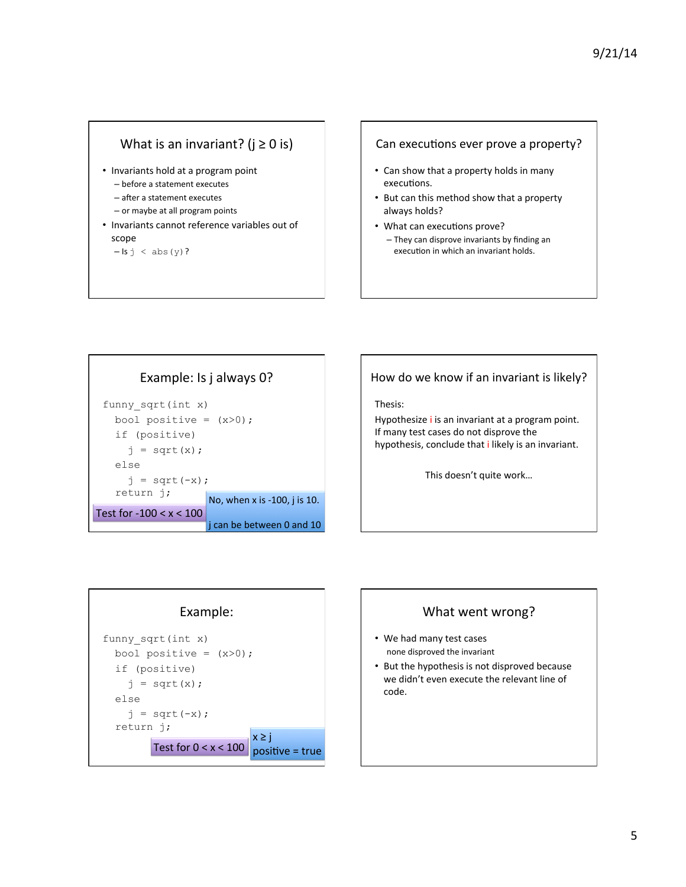## What is an invariant? ( $j \ge 0$  is)

- Invariants hold at a program point
	- before a statement executes
	- $-$  after a statement executes
	- $-$  or maybe at all program points
- Invariants cannot reference variables out of scope

 $-$  Is  $j <$  abs (y)?

#### Can executions ever prove a property?

- Can show that a property holds in many executions.
- But can this method show that a property always holds?
- What can executions prove?  $-$  They can disprove invariants by finding an execution in which an invariant holds.



# How do we know if an invariant is likely?

Thesis: 

Hypothesize *i* is an invariant at a program point. If many test cases do not disprove the hypothesis, conclude that *i* likely is an invariant.

This doesn't quite work...





- We had many test cases none disproved the invariant
- But the hypothesis is not disproved because we didn't even execute the relevant line of code.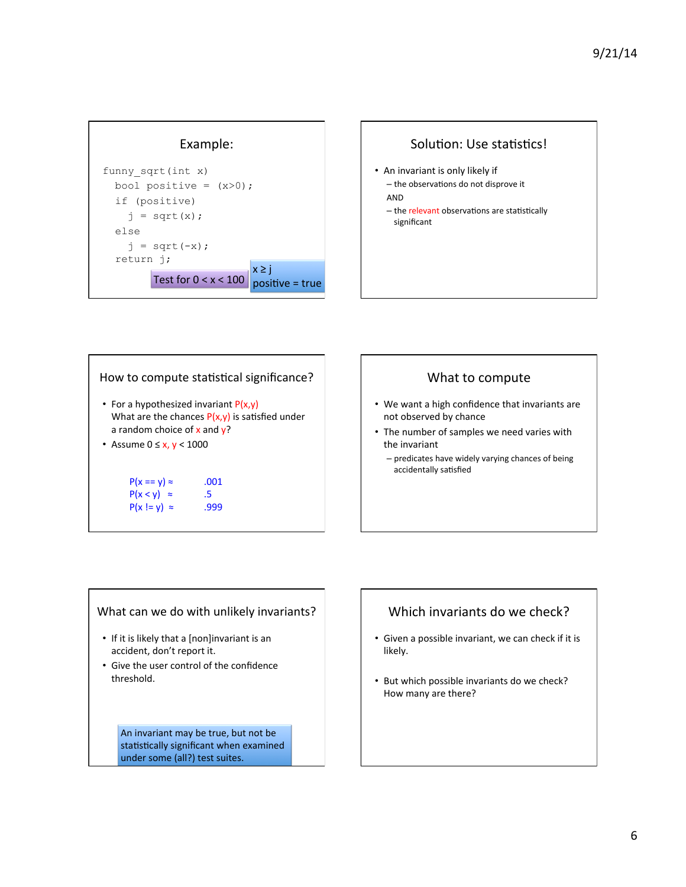



| How to compute statistical significance?                                                                                      |      |
|-------------------------------------------------------------------------------------------------------------------------------|------|
| • For a hypothesized invariant $P(x,y)$<br>What are the chances $P(x,y)$ is satisfied under<br>a random choice of x and $y$ ? |      |
| • Assume $0 \le x, y < 1000$                                                                                                  |      |
|                                                                                                                               |      |
| $P(x == y) \approx$                                                                                                           | .001 |
| $P(x < y) \approx$                                                                                                            | .5   |
| $P(x  = y) \approx$                                                                                                           | .999 |

#### What to compute

- We want a high confidence that invariants are not observed by chance
- The number of samples we need varies with the invariant
	- $-$  predicates have widely varying chances of being accidentally satisfied

#### What can we do with unlikely invariants?

- If it is likely that a [non]invariant is an accident, don't report it.
- Give the user control of the confidence threshold.

An invariant may be true, but not be statistically significant when examined under some (all?) test suites.

## Which invariants do we check?

- Given a possible invariant, we can check if it is likely.
- But which possible invariants do we check? How many are there?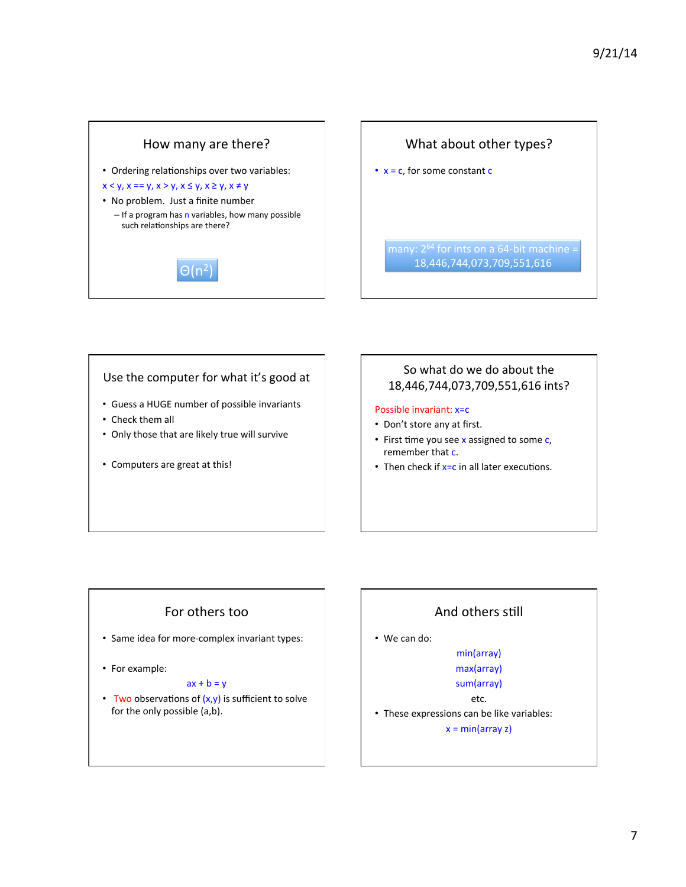



#### Use the computer for what it's good at

- Guess a HUGE number of possible invariants
- Check them all
- Only those that are likely true will survive
- Computers are great at this!

## So what do we do about the 18,446,744,073,709,551,616 ints?

#### Possible invariant: x=c

- Don't store any at first.
- First time you see  $x$  assigned to some  $c$ , remember that c.
- Then check if  $x=c$  in all later executions.

## For others too

- Same idea for more-complex invariant types:
- For example:

#### $ax + b = y$

• Two observations of  $(x,y)$  is sufficient to solve for the only possible (a,b).

## And others still

• We can do:

#### min(array)

max(array) 

#### sum(array) etc.

• These expressions can be like variables:

 $x = min(array z)$